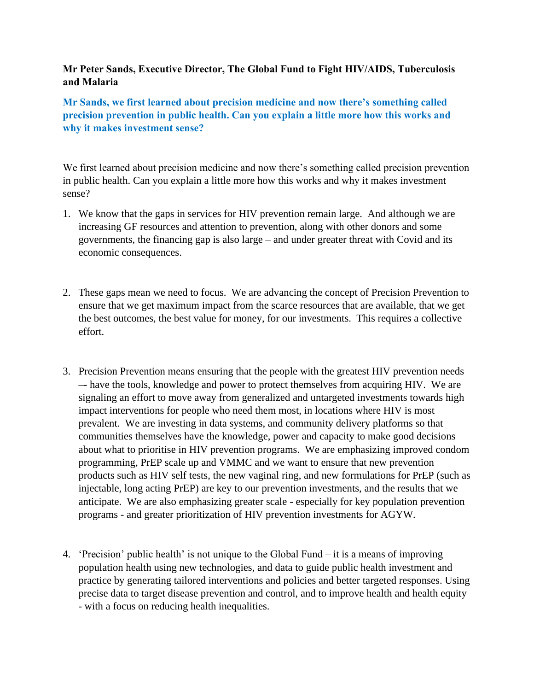## **Mr Peter Sands, Executive Director, The Global Fund to Fight HIV/AIDS, Tuberculosis and Malaria**

**Mr Sands, we first learned about precision medicine and now there's something called precision prevention in public health. Can you explain a little more how this works and why it makes investment sense?** 

We first learned about precision medicine and now there's something called precision prevention in public health. Can you explain a little more how this works and why it makes investment sense?

- 1. We know that the gaps in services for HIV prevention remain large. And although we are increasing GF resources and attention to prevention, along with other donors and some governments, the financing gap is also large – and under greater threat with Covid and its economic consequences.
- 2. These gaps mean we need to focus. We are advancing the concept of Precision Prevention to ensure that we get maximum impact from the scarce resources that are available, that we get the best outcomes, the best value for money, for our investments. This requires a collective effort.
- 3. Precision Prevention means ensuring that the people with the greatest HIV prevention needs –- have the tools, knowledge and power to protect themselves from acquiring HIV. We are signaling an effort to move away from generalized and untargeted investments towards high impact interventions for people who need them most, in locations where HIV is most prevalent. We are investing in data systems, and community delivery platforms so that communities themselves have the knowledge, power and capacity to make good decisions about what to prioritise in HIV prevention programs. We are emphasizing improved condom programming, PrEP scale up and VMMC and we want to ensure that new prevention products such as HIV self tests, the new vaginal ring, and new formulations for PrEP (such as injectable, long acting PrEP) are key to our prevention investments, and the results that we anticipate. We are also emphasizing greater scale - especially for key population prevention programs - and greater prioritization of HIV prevention investments for AGYW.
- 4. 'Precision' public health' is not unique to the Global Fund it is a means of improving population health using new technologies, and data to guide public health investment and practice by generating tailored interventions and policies and better targeted responses. Using precise data to target disease prevention and control, and to improve health and health equity - with a focus on reducing health inequalities.